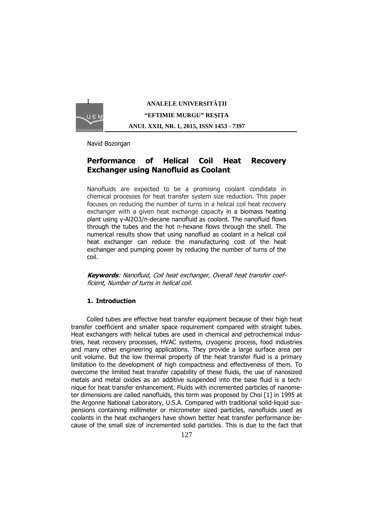

# **ANALELE UNIVERSITĂŢII "EFTIMIE MURGU" REŞIŢA ANUL XXII, NR. 1, 2015, ISSN 1453 - 7397**

Navid Bozorgan

## **Performance of Helical Coil Heat Recovery Exchanger using Nanofluid as Coolant**

Nanofluids are expected to be a promising coolant condidate in chemical processes for heat transfer system size reduction. This paper focuses on reducing the number of turns in a helical coil heat recovery exchanger with a given heat exchange capacity in a biomass heating plant using γ-Al2O3/n-decane nanofluid as coolant. The nanofluid flows through the tubes and the hot n-hexane flows through the shell. The numerical results show that using nanofluid as coolant in a helical coil heat exchanger can reduce the manufacturing cost of the heat exchanger and pumping power by reducing the number of turns of the coil.

**Keywords**: Nanofluid, Coil heat exchanger, Overall heat transfer coefficient, Number of turns in helical coil.

## **1. Introduction**

 Coiled tubes are effective heat transfer equipment because of their high heat transfer coefficient and smaller space requirement compared with straight tubes. Heat exchangers with helical tubes are used in chemical and petrochemical industries, heat recovery processes, HVAC systems, cryogenic process, food industries and many other engineering applications. They provide a large surface area per unit volume. But the low thermal property of the heat transfer fluid is a primary limitation to the development of high compactness and effectiveness of them. To overcome the limited heat transfer capability of these fluids, the use of nanosized metals and metal oxides as an additive suspended into the base fluid is a technique for heat transfer enhancement. Fluids with incremented particles of nanometer dimensions are called nanofluids, this term was proposed by Choi [1] in 1995 at the Argonne National Laboratory, U.S.A. Compared with traditional solid-liquid suspensions containing millimeter or micrometer sized particles, nanofluids used as coolants in the heat exchangers have shown better heat transfer performance because of the small size of incremented solid particles. This is due to the fact that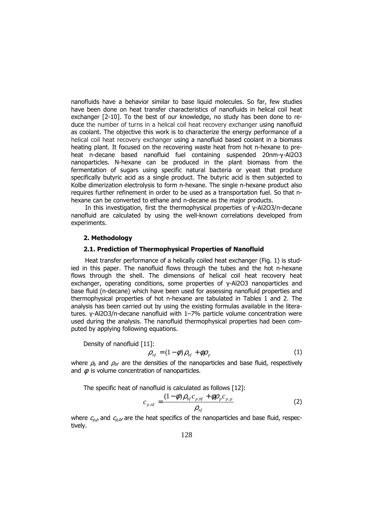nanofluids have a behavior similar to base liquid molecules. So far, few studies have been done on heat transfer characteristics of nanofluids in helical coil heat exchanger [2-10]. To the best of our knowledge, no study has been done to reduce the number of turns in a helical coil heat recovery exchanger using nanofluid as coolant. The objective this work is to characterize the energy performance of a helical coil heat recovery exchanger using a nanofluid based coolant in a biomass heating plant. It focused on the recovering waste heat from hot n-hexane to preheat n-decane based nanofluid fuel containing suspended 20nm-γ-Al2O3 nanoparticles. N-hexane can be produced in the plant biomass from the fermentation of sugars using specific natural bacteria or yeast that produce specifically butyric acid as a single product. The butyric acid is then subjected to Kolbe dimerization electrolysis to form n-hexane. The single n-hexane product also requires further refinement in order to be used as a transportation fuel. So that nhexane can be converted to ethane and n-decane as the major products.

In this investigation, first the thermophysical properties of γ-Al2O3/n-decane nanofluid are calculated by using the well-known correlations developed from experiments.

## **2. Methodology**

#### **2.1. Prediction of Thermophysical Properties of Nanofluid**

Heat transfer performance of a helically coiled heat exchanger (Fig. 1) is studied in this paper. The nanofluid flows through the tubes and the hot n-hexane flows through the shell. The dimensions of helical coil heat recovery heat exchanger, operating conditions, some properties of γ-Al2O3 nanoparticles and base fluid (n-decane) which have been used for assessing nanofluid properties and thermophysical properties of hot n-hexane are tabulated in Tables 1 and 2. The analysis has been carried out by using the existing formulas available in the literatures. γ-Al2O3/n-decane nanofluid with 1–7% particle volume concentration were used during the analysis. The nanofluid thermophysical properties had been computed by applying following equations.

Density of nanofluid [11]:

$$
\rho_{\scriptscriptstyle nf} = (1 - \phi) \rho_{\scriptscriptstyle bf} + \phi \rho_{\scriptscriptstyle p} \tag{1}
$$

where  $\rho_{\rm b}$  and  $\rho_{\rm bf}$  are the densities of the nanoparticles and base fluid, respectively and  $\phi$  is volume concentration of nanoparticles.

The specific heat of nanofluid is calculated as follows [12]:

$$
c_{p, nf} = \frac{(1 - \phi)\rho_{bf}c_{p, bf} + \phi \rho_{p}c_{p, p}}{\rho_{nf}}
$$
 (2)

where  $c_{p,p}$  and  $c_{p,bf}$  are the heat specifics of the nanoparticles and base fluid, respectively.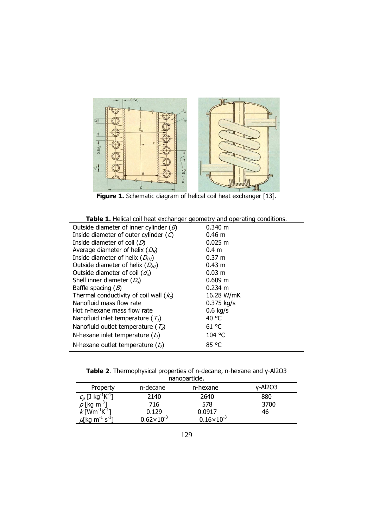

**Figure 1.** Schematic diagram of helical coil heat exchanger [13].

|  |  |  |  | <b>Table 1.</b> Helical coil heat exchanger geometry and operating conditions. |
|--|--|--|--|--------------------------------------------------------------------------------|
|--|--|--|--|--------------------------------------------------------------------------------|

| <b>TWEE</b> TICKER CONTICUT CASTIGLIGHT GEOMETRY GITS OPCIONING CONSIGNITY |                      |
|----------------------------------------------------------------------------|----------------------|
| Outside diameter of inner cylinder $(B)$                                   | 0.340 m              |
| Inside diameter of outer cylinder $(O)$                                    | $0.46 \; m$          |
| Inside diameter of coil $(D)$                                              | 0.025 m              |
| Average diameter of helix $(D_H)$                                          | 0.4 <sub>m</sub>     |
| Inside diameter of helix $(D_{H1})$                                        | $0.37 \; \mathrm{m}$ |
| Outside diameter of helix $(D_{H2})$                                       | 0.43 m               |
| Outside diameter of coil $(d_o)$                                           | 0.03 m               |
| Shell inner diameter $(D_s)$                                               | 0.609 m              |
| Baffle spacing $(B)$                                                       | $0.234 \text{ m}$    |
| Thermal conductivity of coil wall $(kc)$                                   | 16.28 W/mK           |
| Nanofluid mass flow rate                                                   | $0.375$ kg/s         |
| Hot n-hexane mass flow rate                                                | $0.6$ kg/s           |
| Nanofluid inlet temperature ( $T_1$ )                                      | 40 °C                |
| Nanofluid outlet temperature ( $T_2$ )                                     | 61 °C                |
| N-hexane inlet temperature $(t_1)$                                         | 104 °C               |
| N-hexane outlet temperature $(t_2)$                                        | 85 °C                |
|                                                                            |                      |

|              | <b>Table 2.</b> Thermophysical properties of n-decane, n-hexane and $\gamma$ -Al2O3 |  |  |  |  |
|--------------|-------------------------------------------------------------------------------------|--|--|--|--|
| nanonarticle |                                                                                     |  |  |  |  |

| <u>Hallopailucie.</u>                                                       |                     |                       |         |  |  |  |
|-----------------------------------------------------------------------------|---------------------|-----------------------|---------|--|--|--|
| Property                                                                    | n-decane            | n-hexane              | y-Al2O3 |  |  |  |
| $c_p$ [J kg <sup>-1</sup> K <sup>-1</sup> ]<br>$\rho$ [kg m <sup>-3</sup> ] | 2140                | 2640                  | 880     |  |  |  |
|                                                                             | 716                 | 578                   | 3700    |  |  |  |
| $k$ [Wm <sup>-1</sup> K <sup>-1</sup> ]                                     | 0.129               | 0.0917                | 46      |  |  |  |
| $\mu$ [kg m <sup>-1</sup> s <sup>-1</sup> ]                                 | $0.62\times10^{-3}$ | $0.16 \times 10^{-3}$ |         |  |  |  |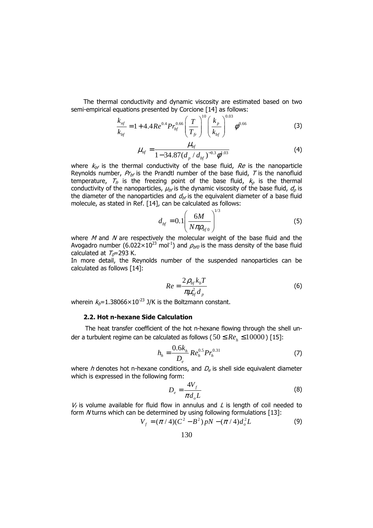The thermal conductivity and dynamic viscosity are estimated based on two semi-empirical equations presented by Corcione [14] as follows:

$$
\frac{k_{nf}}{k_{bf}} = 1 + 4.4Re^{0.4}Pr_{bf}^{0.66} \left(\frac{T}{T_{fr}}\right)^{10} \left(\frac{k_p}{k_{bf}}\right)^{0.03} \phi^{0.66}
$$
\n(3)

$$
\mu_{nf} = \frac{\mu_{bf}}{1 - 34.87(d_p/d_{bf})^{-0.3}\phi^{1.03}}
$$
(4)

where  $k_{b}$  is the thermal conductivity of the base fluid,  $Re$  is the nanoparticle Reynolds number,  $Pr_{\text{bf}}$  is the Prandtl number of the base fluid, T is the nanofluid temperature,  $T_f$  is the freezing point of the base fluid,  $k_p$  is the thermal conductivity of the nanoparticles,  $\mu_{b}$  is the dynamic viscosity of the base fluid,  $d_{p}$  is the diameter of the nanoparticles and  $d_{\text{bf}}$  is the equivalent diameter of a base fluid molecule, as stated in Ref. [14], can be calculated as follows:

$$
d_{\text{bf}} = 0.1 \left( \frac{6M}{N \pi \rho_{\text{bf}}^0} \right)^{1/3} \tag{5}
$$

where  $M$  and  $N$  are respectively the molecular weight of the base fluid and the Avogadro number (6.022×10<sup>23</sup> mol<sup>-1</sup>) and  $\rho_{bfd}$  is the mass density of the base fluid calculated at  $T<sub>0</sub>=293$  K.

In more detail, the Reynolds number of the suspended nanoparticles can be calculated as follows [14]:

$$
Re = \frac{2\rho_{bf}k_bT}{\pi\mu_{bf}^2d_p}
$$
 (6)

wherein  $k_0 = 1.38066 \times 10^{-23}$  J/K is the Boltzmann constant.

#### **2.2. Hot n-hexane Side Calculation**

The heat transfer coefficient of the hot n-hexane flowing through the shell under a turbulent regime can be calculated as follows (  $50 \leq Re_h \leq 10000$  ) [15]:

$$
h_h = \frac{0.6k_h}{D_e} Re_h^{0.5} Pr_h^{0.31}
$$
 (7)

where h denotes hot n-hexane conditions, and  $D<sub>e</sub>$  is shell side equivalent diameter which is expressed in the following form:

$$
D_e = \frac{4V_f}{\pi d_o L} \tag{8}
$$

 $V_f$  is volume available for fluid flow in annulus and L is length of coil needed to form  $N$  turns which can be determined by using following formulations  $[13]$ :

$$
V_f = (\pi / 4)(C^2 - B^2) pN - (\pi / 4)d_o^2 L
$$
 (9)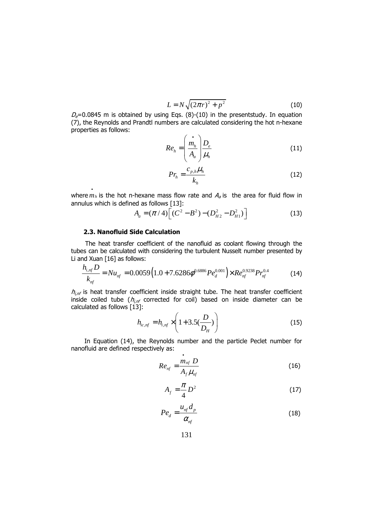$$
L = N\sqrt{(2\pi r)^2 + p^2}
$$
 (10)

 $D_e$ =0.0845 m is obtained by using Eqs. (8)-(10) in the presentstudy. In equation (7), the Reynolds and Prandtl numbers are calculated considering the hot n-hexane properties as follows:

$$
Re_h = \left(\frac{\dot{m}_h}{A_a}\right) \frac{D_e}{\mu_h} \tag{11}
$$

$$
Pr_h = \frac{c_{p,h}\mu_h}{k_h} \tag{12}
$$

where  $\hat{m}_h$  is the hot n-hexane mass flow rate and  $A_{\hat{a}}$  is the area for fluid flow in annulus which is defined as follows [13]:

$$
A_a = (\pi / 4) \Big[ (C^2 - B^2) - (D_{H2}^2 - D_{H1}^2) \Big] \tag{13}
$$

#### **2.3. Nanofluid Side Calculation**

The heat transfer coefficient of the nanofluid as coolant flowing through the tubes can be calculated with considering the turbulent Nusselt number presented by Li and Xuan [16] as follows:

$$
\frac{h_{i,nf}D}{k_{nf}} = Nu_{nf} = 0.0059(1.0 + 7.6286\phi^{0.6886}Pe_d^{0.001}) \times Re_{nf}^{0.9238}Pr_{nf}^{0.4}
$$
 (14)

 $h_{i,nf}$  is heat transfer coefficient inside straight tube. The heat transfer coefficient inside coiled tube ( $h_{i,n}$  corrected for coil) based on inside diameter can be calculated as follows [13]:

$$
h_{i_{c,nf}} = h_{i,nf} \times \left(1 + 3.5\left(\frac{D}{D_H}\right)\right)
$$
 (15)

In Equation (14), the Reynolds number and the particle Peclet number for nanofluid are defined respectively as:

$$
Re_{nf} = \frac{\dot{m}_{nf} D}{A_f \mu_{nf}}
$$
 (16)

$$
A_f = \frac{\pi}{4} D^2 \tag{17}
$$

$$
Pe_d = \frac{u_{nf} d_p}{\alpha_{nf}}
$$
 (18)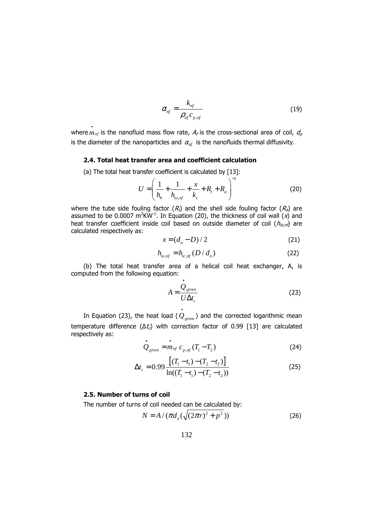$$
\alpha_{nf} = \frac{k_{nf}}{\rho_{nf} c_{p,nf}}
$$
(19)

where  $\dot{m}_{nf}$  is the nanofluid mass flow rate,  $A_f$  is the cross-sectional area of coil,  $d_p$ is the diameter of the nanoparticles and  $\alpha_{nf}$  is the nanofluids thermal diffusivity.

#### **2.4. Total heat transfer area and coefficient calculation**

(a) The total heat transfer coefficient is calculated by [13]:

$$
U = \left(\frac{1}{h_h} + \frac{1}{h_{i_{o, nf}}} + \frac{x}{k_c} + R_t + R_a\right)^{-1}
$$
 (20)

where the tube side fouling factor  $(R_t)$  and the shell side fouling factor  $(R_a)$  are assumed to be 0.0007  $m^2KW^1$ . In Equation (20), the thickness of coil wall  $(x)$  and heat transfer coefficient inside coil based on outside diameter of coil  $(h_{io, nf})$  are calculated respectively as:

$$
x = (d_o - D)/2 \tag{21}
$$

$$
h_{i_o, nf} = h_{i_c, nf} \left( D/d_o \right) \tag{22}
$$

 (b) The total heat transfer area of a helical coil heat exchanger, A, is computed from the following equation:

$$
A = \frac{\dot{Q}_{given}}{U \Delta t_c}
$$
 (23)

 In Equation (23), the heat load (  $\dot{\hat{\mathcal{Q}}}_{\textit{given}}$  ) and the corrected logarithmic mean temperature difference ( $\Delta t_c$ ) with correction factor of 0.99 [13] are calculated respectively as:

$$
\dot{Q}_{given} = \dot{m}_{nf} c_{p, nf} (T_1 - T_2)
$$
 (24)

$$
\Delta t_c = 0.99 \frac{\left[ (T_1 - t_1) - (T_2 - t_2) \right]}{\ln((T_1 - t_1) - (T_2 - t_2))}
$$
\n(25)

## **2.5. Number of turns of coil**

The number of turns of coil needed can be calculated by:

$$
N = A / (\pi d_o(\sqrt{(2\pi r)^2 + p^2}))
$$
 (26)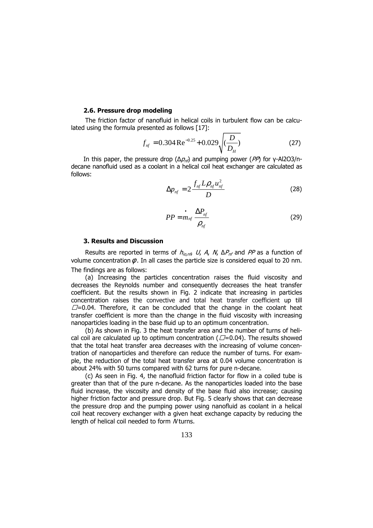#### **2.6. Pressure drop modeling**

The friction factor of nanofluid in helical coils in turbulent flow can be calculated using the formula presented as follows [17]:

$$
f_{nf} = 0.304 \,\text{Re}^{-0.25} + 0.029 \sqrt{\left(\frac{D}{D_H}\right)}\tag{27}
$$

In this paper, the pressure drop ( $Δp<sub>n</sub>$ ) and pumping power ( $PP$ ) for γ-Al2O3/ndecane nanofluid used as a coolant in a helical coil heat exchanger are calculated as follows:

$$
\Delta p_{nf} = 2 \frac{f_{nf} L \rho_{nf} u_{nf}^2}{D}
$$
 (28)

$$
PP = \frac{P_{nf}}{P_{nf}} \frac{\Delta P_{nf}}{\rho_{nf}}
$$
 (29)

#### **3. Results and Discussion**

Results are reported in terms of  $h_{io,nf}$ , U, A, N,  $\Delta P_{nf}$  and PP as a function of volume concentration  $\phi$ . In all cases the particle size is considered equal to 20 nm. The findings are as follows:

(a) Increasing the particles concentration raises the fluid viscosity and decreases the Reynolds number and consequently decreases the heat transfer coefficient. But the results shown in Fig. 2 indicate that increasing in particles concentration raises the convective and total heat transfer coefficient up till  $\Box$ =0.04. Therefore, it can be concluded that the change in the coolant heat transfer coefficient is more than the change in the fluid viscosity with increasing nanoparticles loading in the base fluid up to an optimum concentration.

(b) As shown in Fig. 3 the heat transfer area and the number of turns of helical coil are calculated up to optimum concentration ( $\Box$ =0.04). The results showed that the total heat transfer area decreases with the increasing of volume concentration of nanoparticles and therefore can reduce the number of turns. For example, the reduction of the total heat transfer area at 0.04 volume concentration is about 24% with 50 turns compared with 62 turns for pure n-decane.

(c) As seen in Fig. 4, the nanofluid friction factor for flow in a coiled tube is greater than that of the pure n-decane. As the nanoparticles loaded into the base fluid increase, the viscosity and density of the base fluid also increase; causing higher friction factor and pressure drop. But Fig. 5 clearly shows that can decrease the pressure drop and the pumping power using nanofluid as coolant in a helical coil heat recovery exchanger with a given heat exchange capacity by reducing the length of helical coil needed to form N turns.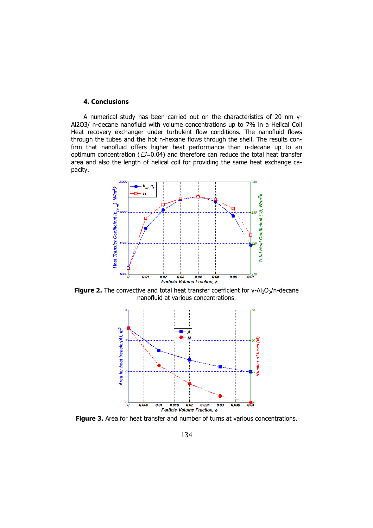## **4. Conclusions**

 A numerical study has been carried out on the characteristics of 20 nm γ-Al2O3/ n-decane nanofluid with volume concentrations up to 7% in a Helical Coil Heat recovery exchanger under turbulent flow conditions. The nanofluid flows through the tubes and the hot n-hexane flows through the shell. The results confirm that nanofluid offers higher heat performance than n-decane up to an optimum concentration ( $\Box$ =0.04) and therefore can reduce the total heat transfer area and also the length of helical coil for providing the same heat exchange capacity.



**Figure 2.** The convective and total heat transfer coefficient for  $\gamma$ -Al<sub>2</sub>O<sub>3</sub>/n-decane nanofluid at various concentrations.



**Figure 3.** Area for heat transfer and number of turns at various concentrations.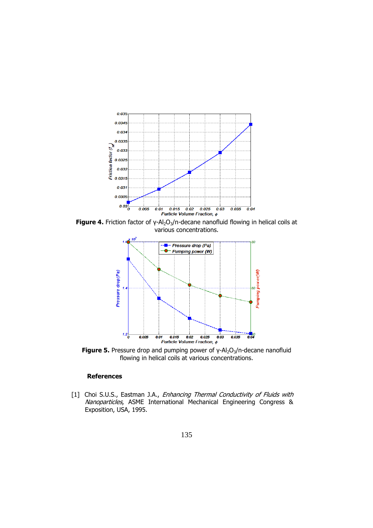

Figure 4. Friction factor of γ-Al<sub>2</sub>O<sub>3</sub>/n-decane nanofluid flowing in helical coils at various concentrations.



**Figure 5.** Pressure drop and pumping power of γ-Al<sub>2</sub>O<sub>3</sub>/n-decane nanofluid flowing in helical coils at various concentrations.

## **References**

[1] Choi S.U.S., Eastman J.A., Enhancing Thermal Conductivity of Fluids with Nanoparticles, ASME International Mechanical Engineering Congress & Exposition, USA, 1995.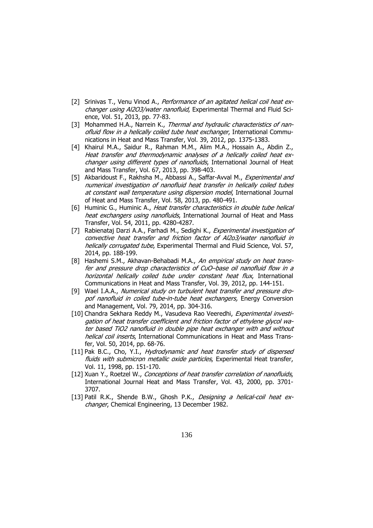- [2] Srinivas T., Venu Vinod A., Performance of an agitated helical coil heat exchanger using Al2O3/water nanofluid. Experimental Thermal and Fluid Science, Vol. 51, 2013, pp. 77-83.
- [3] Mohammed H.A., Narrein K., Thermal and hydraulic characteristics of nanofluid flow in a helically coiled tube heat exchanger, International Communications in Heat and Mass Transfer, Vol. 39, 2012, pp. 1375-1383.
- [4] Khairul M.A., Saidur R., Rahman M.M., Alim M.A., Hossain A., Abdin Z., Heat transfer and thermodynamic analyses of a helically coiled heat exchanger using different types of nanofluids, International Journal of Heat and Mass Transfer, Vol. 67, 2013, pp. 398-403.
- [5] Akbaridoust F., Rakhsha M., Abbassi A., Saffar-Avval M., *Experimental and* numerical investigation of nanofluid heat transfer in helically coiled tubes at constant wall temperature using dispersion model, International Journal of Heat and Mass Transfer, Vol. 58, 2013, pp. 480-491.
- [6] Huminic G., Huminic A., Heat transfer characteristics in double tube helical heat exchangers using nanofluids, International Journal of Heat and Mass Transfer, Vol. 54, 2011, pp. 4280-4287.
- [7] Rabienataj Darzi A.A., Farhadi M., Sedighi K., Experimental investigation of convective heat transfer and friction factor of Al2o3/water nanofluid in helically corrugated tube, Experimental Thermal and Fluid Science, Vol. 57, 2014, pp. 188-199.
- [8] Hashemi S.M., Akhavan-Behabadi M.A., An empirical study on heat transfer and pressure drop characteristics of CuO–base oil nanofluid flow in a horizontal helically coiled tube under constant heat flux, International Communications in Heat and Mass Transfer, Vol. 39, 2012, pp. 144-151.
- [9] Wael I.A.A., Numerical study on turbulent heat transfer and pressure dropof nanofluid in coiled tube-in-tube heat exchangers, Energy Conversion and Management, Vol. 79, 2014, pp. 304-316.
- [10] Chandra Sekhara Reddy M., Vasudeva Rao Veeredhi, Experimental investigation of heat transfer coefficient and friction factor of ethylene glycol water based TiO2 nanofluid in double pipe heat exchanger with and without helical coil inserts, International Communications in Heat and Mass Transfer, Vol. 50, 2014, pp. 68-76.
- [11] Pak B.C., Cho, Y.I., *Hydrodynamic and heat transfer study of dispersed* fluids with submicron metallic oxide particles, Experimental Heat transfer, Vol. 11, 1998, pp. 151-170.
- [12] Xuan Y., Roetzel W., Conceptions of heat transfer correlation of nanofluids, International Journal Heat and Mass Transfer, Vol. 43, 2000, pp. 3701- 3707.
- [13] Patil R.K., Shende B.W., Ghosh P.K., Designing a helical-coil heat exchanger, Chemical Engineering, 13 December 1982.